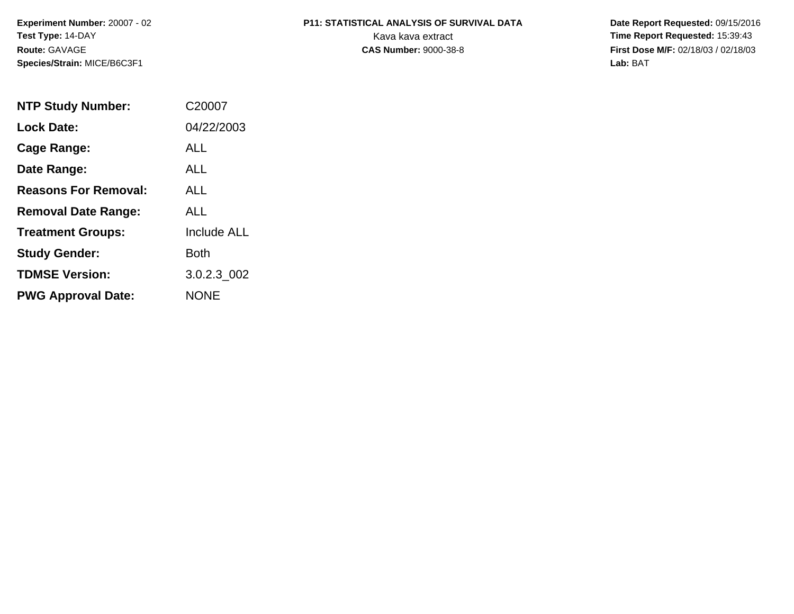**Experiment Number:** 20007 - 02**Test Type:** 14-DAY**Route:** GAVAGE**Species/Strain:** MICE/B6C3F1

# **P11: STATISTICAL ANALYSIS OF SURVIVAL DATA**

 **Date Report Requested:** 09/15/2016 Kava kava extract **Time Report Requested:** 15:39:43<br>**CAS Number:** 9000-38-8 **Time Report Requested:** 15:39:43 **First Dose M/F:** 02/18/03 / 02/18/03<br>Lab: BAT **Lab:** BAT

| <b>NTP Study Number:</b>    | C <sub>20007</sub> |
|-----------------------------|--------------------|
| Lock Date:                  | 04/22/2003         |
| Cage Range:                 | ALL                |
| Date Range:                 | ALL                |
| <b>Reasons For Removal:</b> | ALL.               |
| <b>Removal Date Range:</b>  | ALL                |
| <b>Treatment Groups:</b>    | <b>Include ALL</b> |
| <b>Study Gender:</b>        | <b>Both</b>        |
| <b>TDMSE Version:</b>       | 3.0.2.3 002        |
| <b>PWG Approval Date:</b>   | <b>NONE</b>        |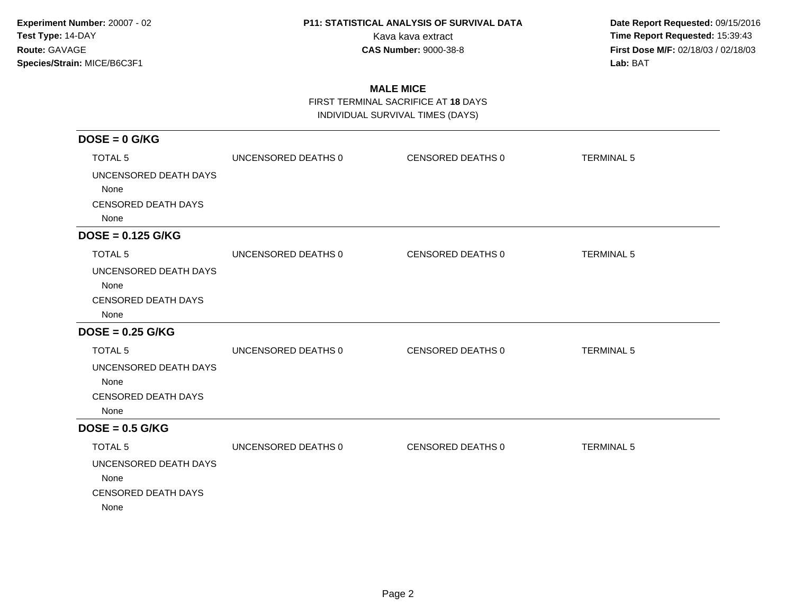**Date Report Requested:** 09/15/2016 Kava kava extract **Time Report Requested:** 15:39:43<br>**CAS Number:** 9000-38-8 **Time Report Requested:** 15:39:43 **First Dose M/F:** 02/18/03 / 02/18/03<br>Lab: BAT **Lab:** BAT

### **MALE MICE**

FIRST TERMINAL SACRIFICE AT **18** DAYS

INDIVIDUAL SURVIVAL TIMES (DAYS)

| $DOSE = 0$ G/KG            |                     |                   |                   |
|----------------------------|---------------------|-------------------|-------------------|
| <b>TOTAL 5</b>             | UNCENSORED DEATHS 0 | CENSORED DEATHS 0 | <b>TERMINAL 5</b> |
| UNCENSORED DEATH DAYS      |                     |                   |                   |
| None                       |                     |                   |                   |
| <b>CENSORED DEATH DAYS</b> |                     |                   |                   |
| None                       |                     |                   |                   |
| $DOSE = 0.125 G/KG$        |                     |                   |                   |
| <b>TOTAL 5</b>             | UNCENSORED DEATHS 0 | CENSORED DEATHS 0 | <b>TERMINAL 5</b> |
| UNCENSORED DEATH DAYS      |                     |                   |                   |
| None                       |                     |                   |                   |
| <b>CENSORED DEATH DAYS</b> |                     |                   |                   |
| None                       |                     |                   |                   |
| $DOSE = 0.25$ G/KG         |                     |                   |                   |
| <b>TOTAL 5</b>             | UNCENSORED DEATHS 0 | CENSORED DEATHS 0 | <b>TERMINAL 5</b> |
| UNCENSORED DEATH DAYS      |                     |                   |                   |
| None                       |                     |                   |                   |
| <b>CENSORED DEATH DAYS</b> |                     |                   |                   |
| None                       |                     |                   |                   |
| $DOSE = 0.5$ G/KG          |                     |                   |                   |
| <b>TOTAL 5</b>             | UNCENSORED DEATHS 0 | CENSORED DEATHS 0 | <b>TERMINAL 5</b> |
| UNCENSORED DEATH DAYS      |                     |                   |                   |
| None                       |                     |                   |                   |
| <b>CENSORED DEATH DAYS</b> |                     |                   |                   |
| None                       |                     |                   |                   |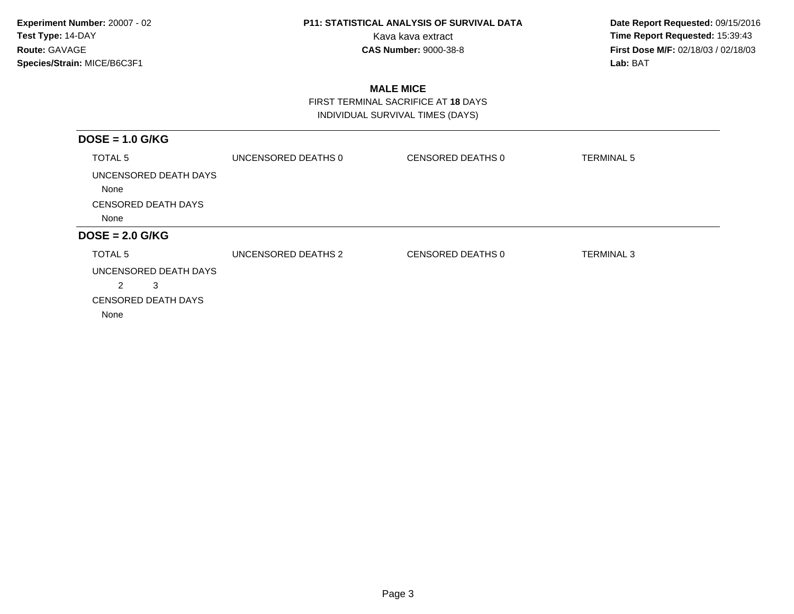**Date Report Requested:** 09/15/2016 Kava kava extract **Time Report Requested:** 15:39:43<br>**CAS Number:** 9000-38-8 **Time Report Requested:** 15:39:43 **First Dose M/F:** 02/18/03 / 02/18/03<br>Lab: BAT **Lab:** BAT

### **MALE MICE**

 FIRST TERMINAL SACRIFICE AT **18** DAYSINDIVIDUAL SURVIVAL TIMES (DAYS)

| $DOSE = 1.0$ G/KG                                                                             |                     |                   |                   |
|-----------------------------------------------------------------------------------------------|---------------------|-------------------|-------------------|
| TOTAL 5                                                                                       | UNCENSORED DEATHS 0 | CENSORED DEATHS 0 | <b>TERMINAL 5</b> |
| UNCENSORED DEATH DAYS<br>None                                                                 |                     |                   |                   |
| <b>CENSORED DEATH DAYS</b>                                                                    |                     |                   |                   |
| None                                                                                          |                     |                   |                   |
| $DOSE = 2.0$ G/KG                                                                             |                     |                   |                   |
| TOTAL 5<br>UNCENSORED DEATH DAYS<br>$\overline{2}$<br>3<br><b>CENSORED DEATH DAYS</b><br>None | UNCENSORED DEATHS 2 | CENSORED DEATHS 0 | <b>TERMINAL 3</b> |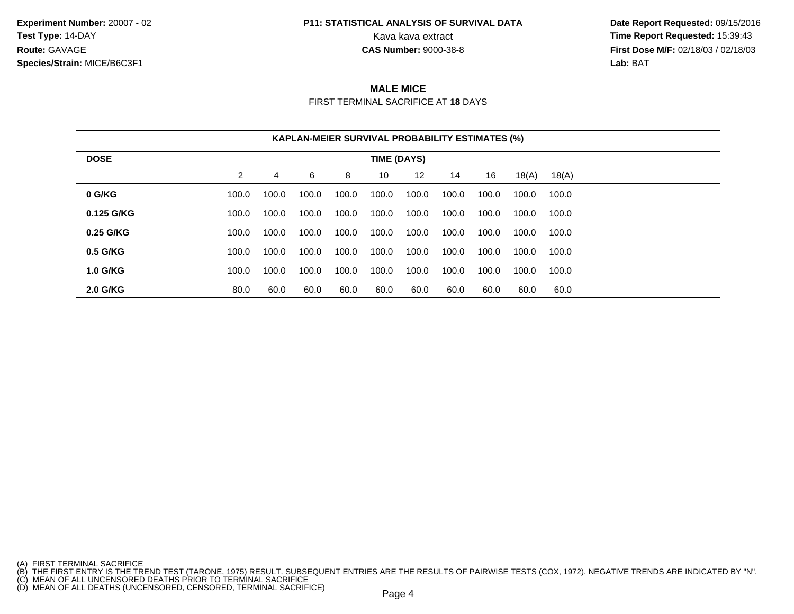**Experiment Number:** 20007 - 02**Test Type:** 14-DAY**Route:** GAVAGE**Species/Strain:** MICE/B6C3F1

## **P11: STATISTICAL ANALYSIS OF SURVIVAL DATA**

 **Date Report Requested:** 09/15/2016 Kava kava extract **Time Report Requested:** 15:39:43<br>**CAS Number:** 9000-38-8 **Time Report Requested:** 15:39:43 **First Dose M/F:** 02/18/03 / 02/18/03<br>**Lab:** BAT **Lab:** BAT

#### **MALE MICE**

FIRST TERMINAL SACRIFICE AT **18** DAYS

|                 |                |       |       | <b>KAPLAN-MEIER SURVIVAL PROBABILITY ESTIMATES (%)</b> |             |         |       |       |       |       |  |
|-----------------|----------------|-------|-------|--------------------------------------------------------|-------------|---------|-------|-------|-------|-------|--|
| <b>DOSE</b>     |                |       |       |                                                        | TIME (DAYS) |         |       |       |       |       |  |
|                 | $\overline{2}$ | 4     | 6     | 8                                                      | 10          | $12 \,$ | 14    | 16    | 18(A) | 18(A) |  |
| 0 G/KG          | 100.0          | 100.0 | 100.0 | 100.0                                                  | 100.0       | 100.0   | 100.0 | 100.0 | 100.0 | 100.0 |  |
| 0.125 G/KG      | 100.0          | 100.0 | 100.0 | 100.0                                                  | 100.0       | 100.0   | 100.0 | 100.0 | 100.0 | 100.0 |  |
| 0.25 G/KG       | 100.0          | 100.0 | 100.0 | 100.0                                                  | 100.0       | 100.0   | 100.0 | 100.0 | 100.0 | 100.0 |  |
| 0.5 G/KG        | 100.0          | 100.0 | 100.0 | 100.0                                                  | 100.0       | 100.0   | 100.0 | 100.0 | 100.0 | 100.0 |  |
| <b>1.0 G/KG</b> | 100.0          | 100.0 | 100.0 | 100.0                                                  | 100.0       | 100.0   | 100.0 | 100.0 | 100.0 | 100.0 |  |
| 2.0 G/KG        | 80.0           | 60.0  | 60.0  | 60.0                                                   | 60.0        | 60.0    | 60.0  | 60.0  | 60.0  | 60.0  |  |

- 
- 

<sup>(</sup>A) FIRST TERMINAL SACRIFICE<br>(B) THE FIRST ENTRY IS THE TREND TEST (TARONE, 1975) RESULT. SUBSEQUENT ENTRIES ARE THE RESULTS OF PAIRWISE TESTS (COX, 1972). NEGATIVE TRENDS ARE INDICATED BY "N".<br>(C) MEAN OF ALL UNCENSORED D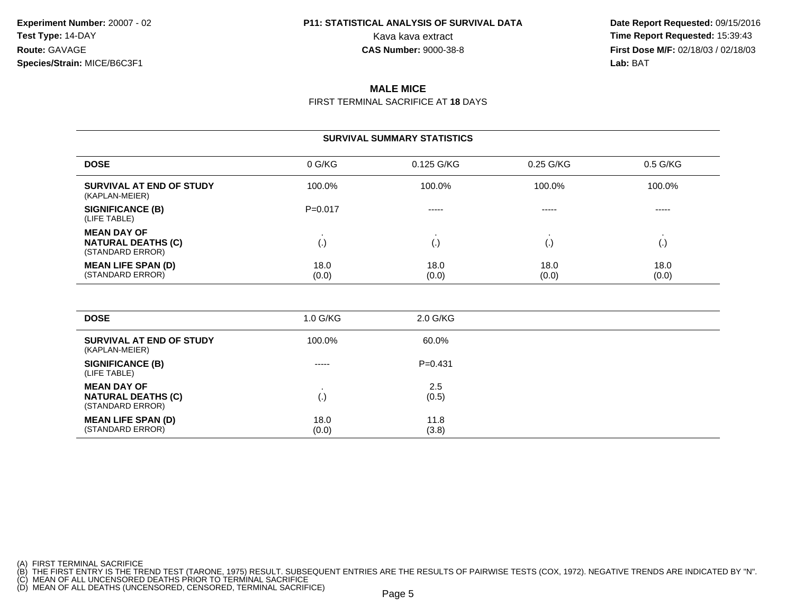**Date Report Requested:** 09/15/2016 Kava kava extract **Time Report Requested:** 15:39:43<br>**CAS Number:** 9000-38-8 **Time Report Requested:** 15:39:43 **First Dose M/F:** 02/18/03 / 02/18/03<br>**Lab:** BAT **Lab:** BAT

#### **MALE MICE**

FIRST TERMINAL SACRIFICE AT **18** DAYS

|                                                                     |               | <b>SURVIVAL SUMMARY STATISTICS</b> |               |                    |
|---------------------------------------------------------------------|---------------|------------------------------------|---------------|--------------------|
| <b>DOSE</b>                                                         | 0 G/KG        | 0.125 G/KG                         | 0.25 G/KG     | $0.5$ G/KG         |
| SURVIVAL AT END OF STUDY<br>(KAPLAN-MEIER)                          | 100.0%        | 100.0%                             | 100.0%        | 100.0%             |
| <b>SIGNIFICANCE (B)</b><br>(LIFE TABLE)                             | $P=0.017$     | -----                              | -----         | -----              |
| <b>MEAN DAY OF</b><br><b>NATURAL DEATHS (C)</b><br>(STANDARD ERROR) | (.)           | $\left( . \right)$                 | ر . ا         | $\left( . \right)$ |
| <b>MEAN LIFE SPAN (D)</b><br>(STANDARD ERROR)                       | 18.0<br>(0.0) | 18.0<br>(0.0)                      | 18.0<br>(0.0) | 18.0<br>(0.0)      |

| <b>DOSE</b>                                                         | $1.0$ G/KG    | 2.0 G/KG      |  |
|---------------------------------------------------------------------|---------------|---------------|--|
| SURVIVAL AT END OF STUDY<br>(KAPLAN-MEIER)                          | 100.0%        | 60.0%         |  |
| <b>SIGNIFICANCE (B)</b><br>(LIFE TABLE)                             | $- - - - -$   | $P=0.431$     |  |
| <b>MEAN DAY OF</b><br><b>NATURAL DEATHS (C)</b><br>(STANDARD ERROR) | (.)           | 2.5<br>(0.5)  |  |
| <b>MEAN LIFE SPAN (D)</b><br>(STANDARD ERROR)                       | 18.0<br>(0.0) | 11.8<br>(3.8) |  |

(A) FIRST TERMINAL SACRIFICE<br>(B) THE FIRST ENTRY IS THE TREND TEST (TARONE, 1975) RESULT. SUBSEQUENT ENTRIES ARE THE RESULTS OF PAIRWISE TESTS (COX, 1972). NEGATIVE TRENDS ARE INDICATED BY "N".<br>(C) MEAN OF ALL UNCENSORED D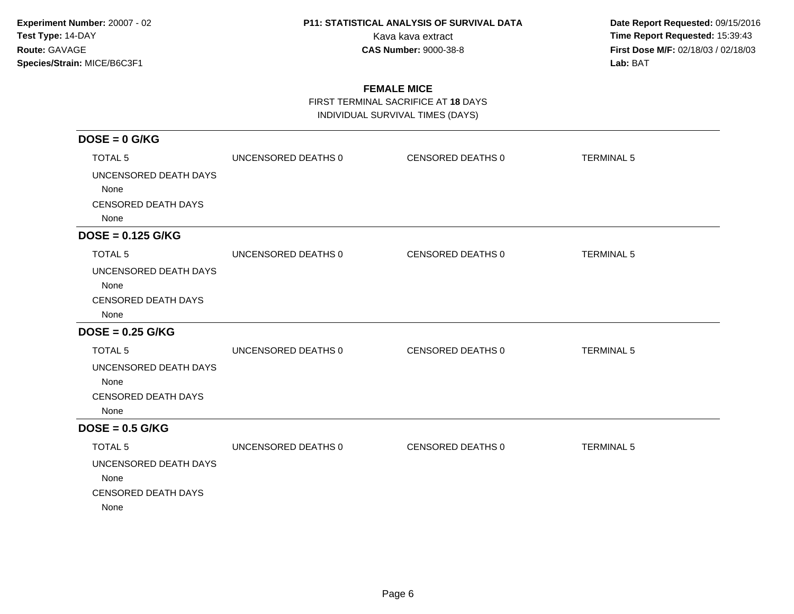**Date Report Requested:** 09/15/2016 Kava kava extract **Time Report Requested:** 15:39:43<br>**CAS Number:** 9000-38-8 **Time Report Requested:** 15:39:43 **First Dose M/F:** 02/18/03 / 02/18/03<br>Lab: BAT **Lab:** BAT

### **FEMALE MICE**

FIRST TERMINAL SACRIFICE AT **18** DAYS

INDIVIDUAL SURVIVAL TIMES (DAYS)

| $DOSE = 0$ G/KG            |                     |                   |                   |
|----------------------------|---------------------|-------------------|-------------------|
| <b>TOTAL 5</b>             | UNCENSORED DEATHS 0 | CENSORED DEATHS 0 | <b>TERMINAL 5</b> |
| UNCENSORED DEATH DAYS      |                     |                   |                   |
| None                       |                     |                   |                   |
| <b>CENSORED DEATH DAYS</b> |                     |                   |                   |
| None                       |                     |                   |                   |
| $DOSE = 0.125$ G/KG        |                     |                   |                   |
| <b>TOTAL 5</b>             | UNCENSORED DEATHS 0 | CENSORED DEATHS 0 | <b>TERMINAL 5</b> |
| UNCENSORED DEATH DAYS      |                     |                   |                   |
| None                       |                     |                   |                   |
| <b>CENSORED DEATH DAYS</b> |                     |                   |                   |
| None                       |                     |                   |                   |
| $DOSE = 0.25$ G/KG         |                     |                   |                   |
| <b>TOTAL 5</b>             | UNCENSORED DEATHS 0 | CENSORED DEATHS 0 | <b>TERMINAL 5</b> |
| UNCENSORED DEATH DAYS      |                     |                   |                   |
| None                       |                     |                   |                   |
| <b>CENSORED DEATH DAYS</b> |                     |                   |                   |
| None                       |                     |                   |                   |
| $DOSE = 0.5$ G/KG          |                     |                   |                   |
| <b>TOTAL 5</b>             | UNCENSORED DEATHS 0 | CENSORED DEATHS 0 | <b>TERMINAL 5</b> |
| UNCENSORED DEATH DAYS      |                     |                   |                   |
| None                       |                     |                   |                   |
| <b>CENSORED DEATH DAYS</b> |                     |                   |                   |
| None                       |                     |                   |                   |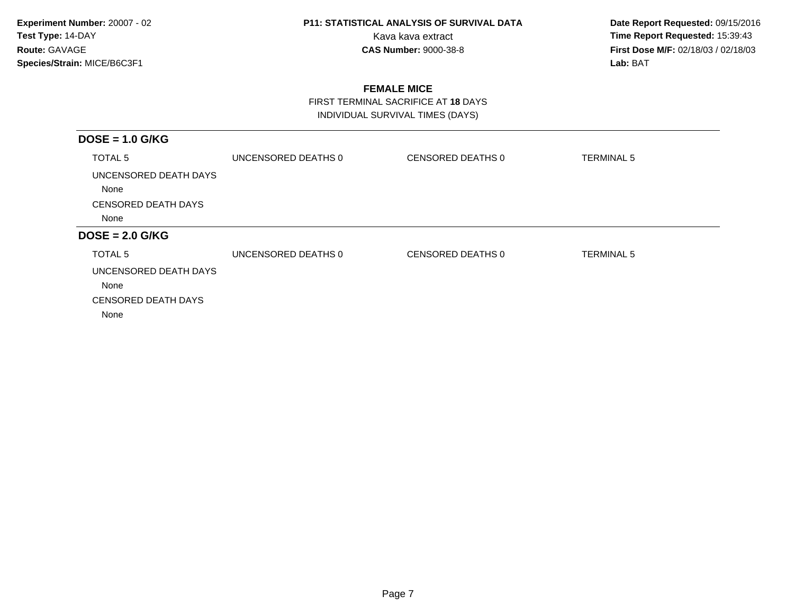**Date Report Requested:** 09/15/2016 Kava kava extract **Time Report Requested:** 15:39:43<br>**CAS Number:** 9000-38-8 **Time Report Requested:** 15:39:43 **First Dose M/F:** 02/18/03 / 02/18/03<br>Lab: BAT **Lab:** BAT

### **FEMALE MICE**

 FIRST TERMINAL SACRIFICE AT **18** DAYSINDIVIDUAL SURVIVAL TIMES (DAYS)

| $DOSE = 1.0$ G/KG          |                     |                   |                   |
|----------------------------|---------------------|-------------------|-------------------|
| TOTAL 5                    | UNCENSORED DEATHS 0 | CENSORED DEATHS 0 | <b>TERMINAL 5</b> |
| UNCENSORED DEATH DAYS      |                     |                   |                   |
| None                       |                     |                   |                   |
| <b>CENSORED DEATH DAYS</b> |                     |                   |                   |
| None                       |                     |                   |                   |
| $DOSE = 2.0$ G/KG          |                     |                   |                   |
| TOTAL 5                    | UNCENSORED DEATHS 0 | CENSORED DEATHS 0 | <b>TERMINAL 5</b> |
| UNCENSORED DEATH DAYS      |                     |                   |                   |
| None                       |                     |                   |                   |
| <b>CENSORED DEATH DAYS</b> |                     |                   |                   |
| None                       |                     |                   |                   |
|                            |                     |                   |                   |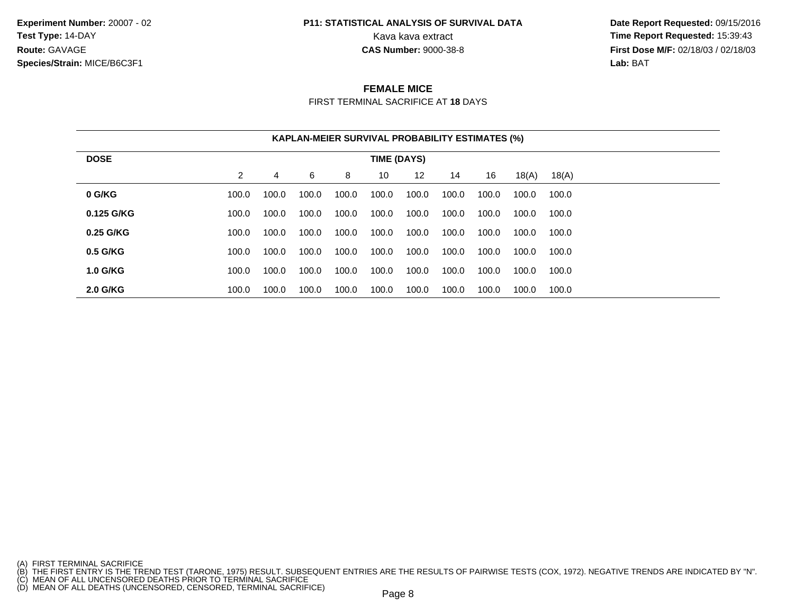**Experiment Number:** 20007 - 02**Test Type:** 14-DAY**Route:** GAVAGE**Species/Strain:** MICE/B6C3F1

## **P11: STATISTICAL ANALYSIS OF SURVIVAL DATA**

 **Date Report Requested:** 09/15/2016 Kava kava extract **Time Report Requested:** 15:39:43<br>**CAS Number:** 9000-38-8 **Time Report Requested:** 15:39:43 **First Dose M/F:** 02/18/03 / 02/18/03<br>**Lab:** BAT **Lab:** BAT

#### **FEMALE MICE**

FIRST TERMINAL SACRIFICE AT **18** DAYS

|                 |       |       |       | <b>KAPLAN-MEIER SURVIVAL PROBABILITY ESTIMATES (%)</b> |             |       |       |       |       |       |  |
|-----------------|-------|-------|-------|--------------------------------------------------------|-------------|-------|-------|-------|-------|-------|--|
| <b>DOSE</b>     |       |       |       |                                                        | TIME (DAYS) |       |       |       |       |       |  |
|                 | 2     | 4     | 6     | 8                                                      | 10          | 12    | 14    | 16    | 18(A) | 18(A) |  |
| 0 G/KG          | 100.0 | 100.0 | 100.0 | 100.0                                                  | 100.0       | 100.0 | 100.0 | 100.0 | 100.0 | 100.0 |  |
| 0.125 G/KG      | 100.0 | 100.0 | 100.0 | 100.0                                                  | 100.0       | 100.0 | 100.0 | 100.0 | 100.0 | 100.0 |  |
| 0.25 G/KG       | 100.0 | 100.0 | 100.0 | 100.0                                                  | 100.0       | 100.0 | 100.0 | 100.0 | 100.0 | 100.0 |  |
| 0.5 G/KG        | 100.0 | 100.0 | 100.0 | 100.0                                                  | 100.0       | 100.0 | 100.0 | 100.0 | 100.0 | 100.0 |  |
| <b>1.0 G/KG</b> | 100.0 | 100.0 | 100.0 | 100.0                                                  | 100.0       | 100.0 | 100.0 | 100.0 | 100.0 | 100.0 |  |
| <b>2.0 G/KG</b> | 100.0 | 100.0 | 100.0 | 100.0                                                  | 100.0       | 100.0 | 100.0 | 100.0 | 100.0 | 100.0 |  |

<sup>(</sup>A) FIRST TERMINAL SACRIFICE<br>(B) THE FIRST ENTRY IS THE TREND TEST (TARONE, 1975) RESULT. SUBSEQUENT ENTRIES ARE THE RESULTS OF PAIRWISE TESTS (COX, 1972). NEGATIVE TRENDS ARE INDICATED BY "N".<br>(C) MEAN OF ALL UNCENSORED D